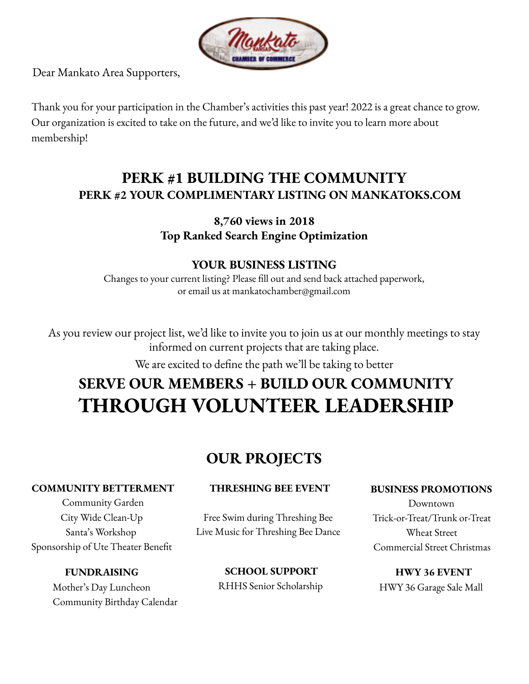

Dear Mankato Area Supporters,

Thank you for your participation in the Chamber's activities this past year! 2022 is a great chance to grow. Our organization is excited to take on the future, and we'd like to invite you to learn more about membership!

# **PERK #1 BUILDING THE COMMUNITY PERK #2 YOUR COMPLIMENTARY LISTING ON MANKATOKS.COM**

## **8,760 views in 2018 Top Ranked Search Engine Optimization**

## **YOUR BUSINESS LISTING**

Changes to your current listing? Please fill out and send back attached paperwork, or email us at mankatochamber@gmail.com

As you review our project list, we'd like to invite you to join us at our monthly meetings to stay informed on current projects that are taking place.

We are excited to define the path we'll be taking to better

# **SERVE OUR MEMBERS + BUILD OUR COMMUNITY THROUGH VOLUNTEER LEADERSHIP**

# **OUR PROJECTS**

#### **COMMUNITY BETTERMENT**

Community Garden City Wide Clean-Up Santa's Workshop Sponsorship of Ute Theater Benefit

### **FUNDRAISING**

Mother's Day Luncheon Community Birthday Calendar

#### **THRESHING BEE EVENT**

Free Swim during Threshing Bee Live Music for Threshing Bee Dance

> **SCHOOL SUPPORT** RHHS Senior Scholarship

#### **BUSINESS PROMOTIONS**

Downtown Trick-or-Treat/Trunk or-Treat Wheat Street Commercial Street Christmas

**HWY 36 EVENT** HWY 36 Garage Sale Mall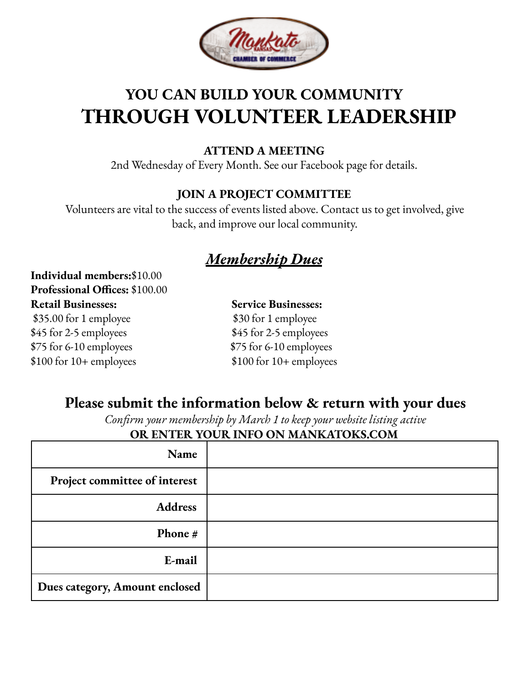

# **YOU CAN BUILD YOUR COMMUNITY THROUGH VOLUNTEER LEADERSHIP**

## **ATTEND A MEETING**

2nd Wednesday of Every Month. See our Facebook page for details.

## **JOIN A PROJECT COMMITTEE**

Volunteers are vital to the success of events listed above. Contact us to get involved, give back, and improve our local community.

# *Membership Dues*

**Individual members:**\$10.00 **Professional Offices:** \$100.00 **Retail Businesses: Service Businesses:** \$35.00 for 1 employee \$30 for 1 employee

 $$75$  for 6-10 employees  $$75$  for 6-10 employees

\$45 for 2-5 employees \$45 for 2-5 employees \$100 for 10+ employees \$100 for 10+ employees

# **Please submit the information below & return with your dues**

*Confirm your membership by March 1 to keep your website listing active* **OR ENTER YOUR INFO ON MANKATOKS.COM**

| Name                           |  |
|--------------------------------|--|
| Project committee of interest  |  |
| <b>Address</b>                 |  |
| <b>Phone</b> $#$               |  |
| E-mail                         |  |
| Dues category, Amount enclosed |  |